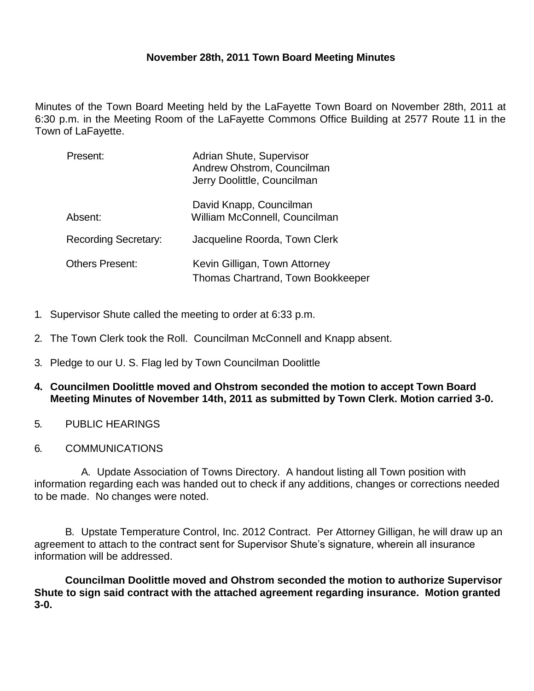## **November 28th, 2011 Town Board Meeting Minutes**

Minutes of the Town Board Meeting held by the LaFayette Town Board on November 28th, 2011 at 6:30 p.m. in the Meeting Room of the LaFayette Commons Office Building at 2577 Route 11 in the Town of LaFayette.

| Present:                    | Adrian Shute, Supervisor<br>Andrew Ohstrom, Councilman<br>Jerry Doolittle, Councilman |
|-----------------------------|---------------------------------------------------------------------------------------|
| Absent:                     | David Knapp, Councilman<br>William McConnell, Councilman                              |
| <b>Recording Secretary:</b> | Jacqueline Roorda, Town Clerk                                                         |
| <b>Others Present:</b>      | Kevin Gilligan, Town Attorney<br>Thomas Chartrand, Town Bookkeeper                    |

- 1. Supervisor Shute called the meeting to order at 6:33 p.m.
- 2. The Town Clerk took the Roll. Councilman McConnell and Knapp absent.
- 3. Pledge to our U. S. Flag led by Town Councilman Doolittle
- **4. Councilmen Doolittle moved and Ohstrom seconded the motion to accept Town Board Meeting Minutes of November 14th, 2011 as submitted by Town Clerk. Motion carried 3-0.**
- 5. PUBLIC HEARINGS
- 6. COMMUNICATIONS

A. Update Association of Towns Directory. A handout listing all Town position with information regarding each was handed out to check if any additions, changes or corrections needed to be made. No changes were noted.

B. Upstate Temperature Control, Inc. 2012 Contract. Per Attorney Gilligan, he will draw up an agreement to attach to the contract sent for Supervisor Shute's signature, wherein all insurance information will be addressed.

**Councilman Doolittle moved and Ohstrom seconded the motion to authorize Supervisor Shute to sign said contract with the attached agreement regarding insurance. Motion granted 3-0.**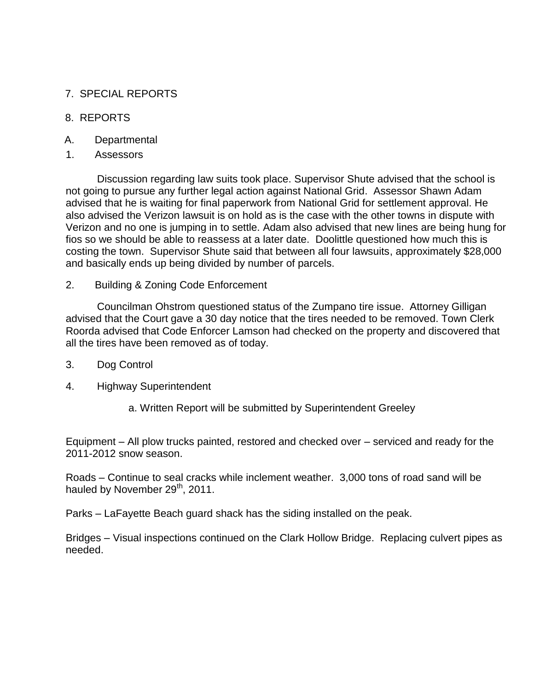# 7. SPECIAL REPORTS

## 8. REPORTS

- A. Departmental
- 1. Assessors

Discussion regarding law suits took place. Supervisor Shute advised that the school is not going to pursue any further legal action against National Grid. Assessor Shawn Adam advised that he is waiting for final paperwork from National Grid for settlement approval. He also advised the Verizon lawsuit is on hold as is the case with the other towns in dispute with Verizon and no one is jumping in to settle. Adam also advised that new lines are being hung for fios so we should be able to reassess at a later date. Doolittle questioned how much this is costing the town. Supervisor Shute said that between all four lawsuits, approximately \$28,000 and basically ends up being divided by number of parcels.

2. Building & Zoning Code Enforcement

Councilman Ohstrom questioned status of the Zumpano tire issue. Attorney Gilligan advised that the Court gave a 30 day notice that the tires needed to be removed. Town Clerk Roorda advised that Code Enforcer Lamson had checked on the property and discovered that all the tires have been removed as of today.

- 3. Dog Control
- 4. Highway Superintendent
	- a. Written Report will be submitted by Superintendent Greeley

Equipment – All plow trucks painted, restored and checked over – serviced and ready for the 2011-2012 snow season.

Roads – Continue to seal cracks while inclement weather. 3,000 tons of road sand will be hauled by November 29<sup>th</sup>, 2011.

Parks – LaFayette Beach guard shack has the siding installed on the peak.

Bridges – Visual inspections continued on the Clark Hollow Bridge. Replacing culvert pipes as needed.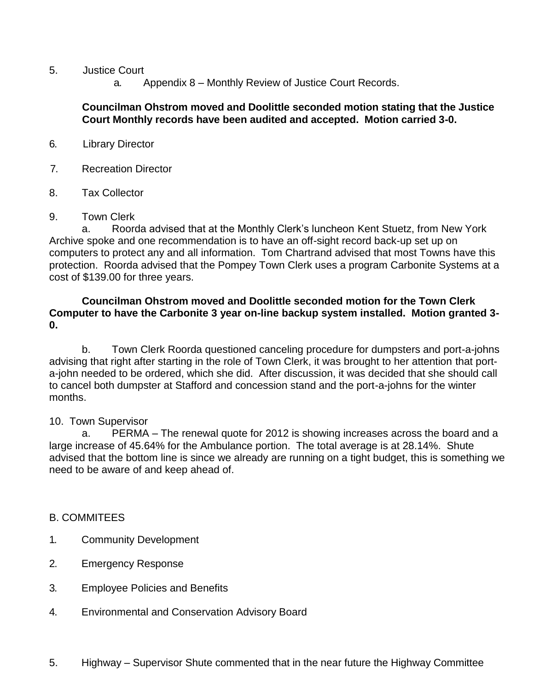- 5. Justice Court
	- a. Appendix 8 Monthly Review of Justice Court Records.

### **Councilman Ohstrom moved and Doolittle seconded motion stating that the Justice Court Monthly records have been audited and accepted. Motion carried 3-0.**

- 6. Library Director
- 7. Recreation Director
- 8. Tax Collector
- 9. Town Clerk

a. Roorda advised that at the Monthly Clerk's luncheon Kent Stuetz, from New York Archive spoke and one recommendation is to have an off-sight record back-up set up on computers to protect any and all information. Tom Chartrand advised that most Towns have this protection. Roorda advised that the Pompey Town Clerk uses a program Carbonite Systems at a cost of \$139.00 for three years.

### **Councilman Ohstrom moved and Doolittle seconded motion for the Town Clerk Computer to have the Carbonite 3 year on-line backup system installed. Motion granted 3- 0.**

b. Town Clerk Roorda questioned canceling procedure for dumpsters and port-a-johns advising that right after starting in the role of Town Clerk, it was brought to her attention that porta-john needed to be ordered, which she did. After discussion, it was decided that she should call to cancel both dumpster at Stafford and concession stand and the port-a-johns for the winter months.

#### 10. Town Supervisor

a. PERMA – The renewal quote for 2012 is showing increases across the board and a large increase of 45.64% for the Ambulance portion. The total average is at 28.14%. Shute advised that the bottom line is since we already are running on a tight budget, this is something we need to be aware of and keep ahead of.

#### B. COMMITEES

- 1. Community Development
- 2. Emergency Response
- 3. Employee Policies and Benefits
- 4. Environmental and Conservation Advisory Board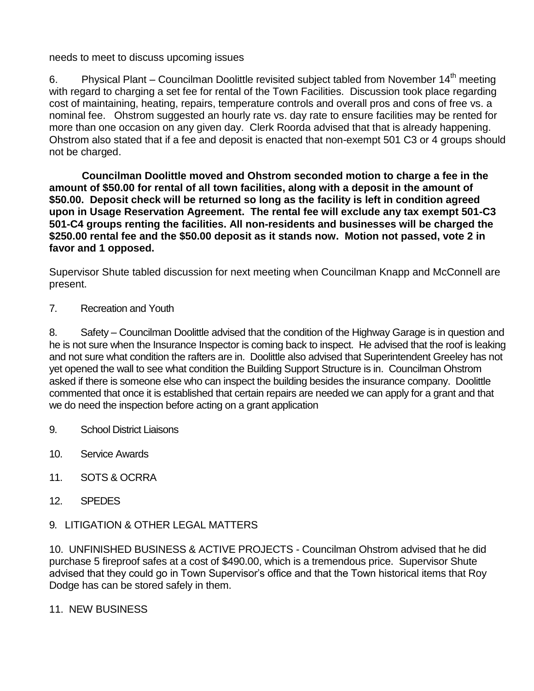needs to meet to discuss upcoming issues

6. Physical Plant – Councilman Doolittle revisited subject tabled from November  $14<sup>th</sup>$  meeting with regard to charging a set fee for rental of the Town Facilities. Discussion took place regarding cost of maintaining, heating, repairs, temperature controls and overall pros and cons of free vs. a nominal fee. Ohstrom suggested an hourly rate vs. day rate to ensure facilities may be rented for more than one occasion on any given day. Clerk Roorda advised that that is already happening. Ohstrom also stated that if a fee and deposit is enacted that non-exempt 501 C3 or 4 groups should not be charged.

**Councilman Doolittle moved and Ohstrom seconded motion to charge a fee in the amount of \$50.00 for rental of all town facilities, along with a deposit in the amount of \$50.00. Deposit check will be returned so long as the facility is left in condition agreed upon in Usage Reservation Agreement. The rental fee will exclude any tax exempt 501-C3 501-C4 groups renting the facilities. All non-residents and businesses will be charged the \$250.00 rental fee and the \$50.00 deposit as it stands now. Motion not passed, vote 2 in favor and 1 opposed.**

Supervisor Shute tabled discussion for next meeting when Councilman Knapp and McConnell are present.

7. Recreation and Youth

8. Safety – Councilman Doolittle advised that the condition of the Highway Garage is in question and he is not sure when the Insurance Inspector is coming back to inspect. He advised that the roof is leaking and not sure what condition the rafters are in. Doolittle also advised that Superintendent Greeley has not yet opened the wall to see what condition the Building Support Structure is in. Councilman Ohstrom asked if there is someone else who can inspect the building besides the insurance company. Doolittle commented that once it is established that certain repairs are needed we can apply for a grant and that we do need the inspection before acting on a grant application

- 9. School District Liaisons
- 10. Service Awards
- 11. SOTS & OCRRA
- 12. SPEDES
- 9. LITIGATION & OTHER LEGAL MATTERS

10. UNFINISHED BUSINESS & ACTIVE PROJECTS - Councilman Ohstrom advised that he did purchase 5 fireproof safes at a cost of \$490.00, which is a tremendous price. Supervisor Shute advised that they could go in Town Supervisor's office and that the Town historical items that Roy Dodge has can be stored safely in them.

11. NEW BUSINESS